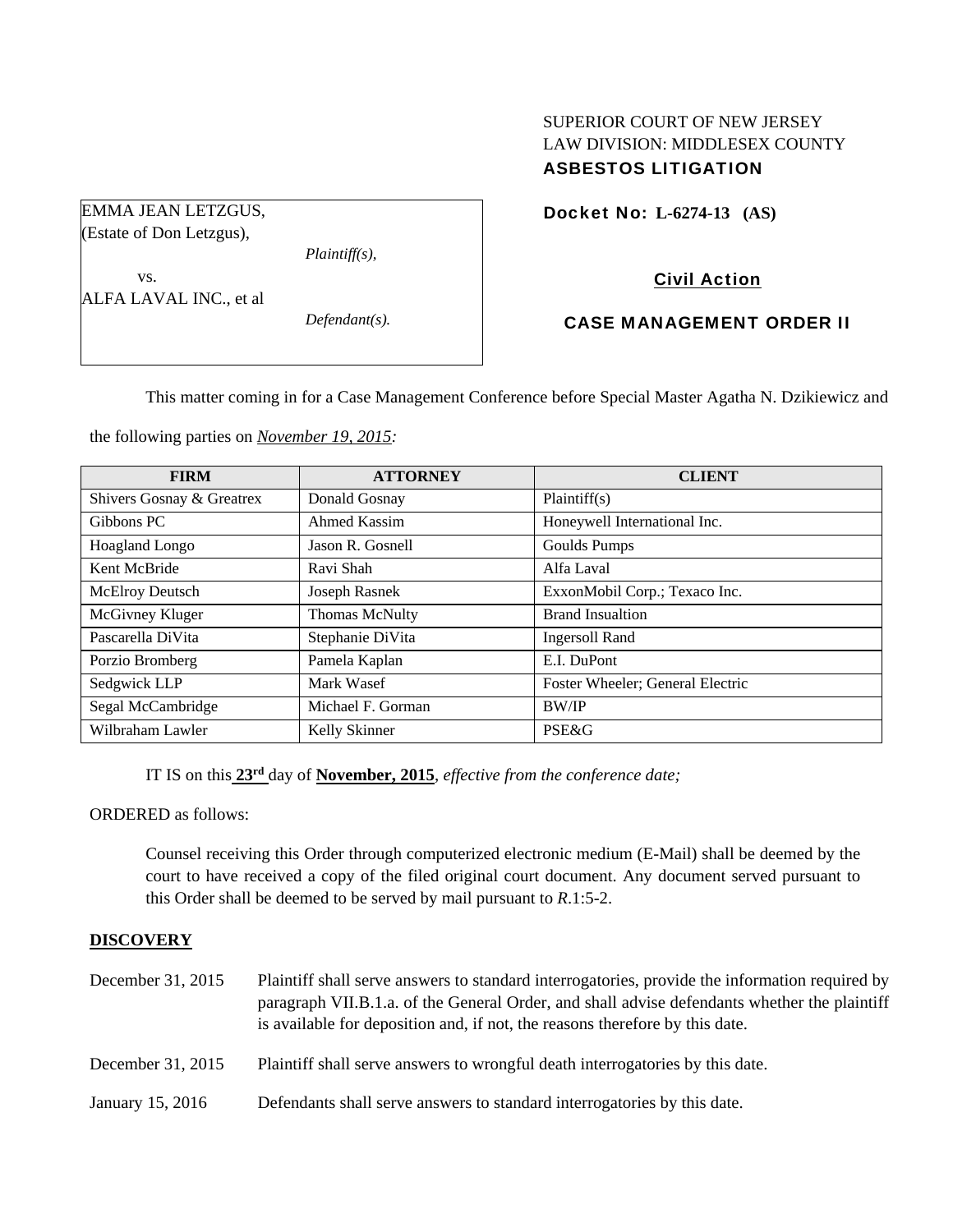# SUPERIOR COURT OF NEW JERSEY LAW DIVISION: MIDDLESEX COUNTY ASBESTOS LITIGATION

Docket No: **L-6274-13 (AS)** 

# Civil Action

## CASE MANAGEMENT ORDER II

This matter coming in for a Case Management Conference before Special Master Agatha N. Dzikiewicz and

the following parties on *November 19, 2015:* 

*Plaintiff(s),* 

*Defendant(s).* 

EMMA JEAN LETZGUS, (Estate of Don Letzgus),

ALFA LAVAL INC., et al

vs.

| <b>FIRM</b>               | <b>ATTORNEY</b>       | <b>CLIENT</b>                    |
|---------------------------|-----------------------|----------------------------------|
| Shivers Gosnay & Greatrex | Donald Gosnay         | Plaintiff(s)                     |
| Gibbons PC                | Ahmed Kassim          | Honeywell International Inc.     |
| <b>Hoagland Longo</b>     | Jason R. Gosnell      | Goulds Pumps                     |
| Kent McBride              | Ravi Shah             | Alfa Laval                       |
| McElroy Deutsch           | Joseph Rasnek         | ExxonMobil Corp.; Texaco Inc.    |
| McGivney Kluger           | <b>Thomas McNulty</b> | <b>Brand Insualtion</b>          |
| Pascarella DiVita         | Stephanie DiVita      | <b>Ingersoll Rand</b>            |
| Porzio Bromberg           | Pamela Kaplan         | E.I. DuPont                      |
| Sedgwick LLP              | Mark Wasef            | Foster Wheeler; General Electric |
| Segal McCambridge         | Michael F. Gorman     | <b>BW/IP</b>                     |
| Wilbraham Lawler          | Kelly Skinner         | PSE&G                            |

IT IS on this **23rd** day of **November, 2015**, *effective from the conference date;*

ORDERED as follows:

Counsel receiving this Order through computerized electronic medium (E-Mail) shall be deemed by the court to have received a copy of the filed original court document. Any document served pursuant to this Order shall be deemed to be served by mail pursuant to *R*.1:5-2.

### **DISCOVERY**

| December 31, 2015 | Plaintiff shall serve answers to standard interrogatories, provide the information required by<br>paragraph VII.B.1.a. of the General Order, and shall advise defendants whether the plaintiff<br>is available for deposition and, if not, the reasons therefore by this date. |
|-------------------|--------------------------------------------------------------------------------------------------------------------------------------------------------------------------------------------------------------------------------------------------------------------------------|
| December 31, 2015 | Plaintiff shall serve answers to wrongful death interrogatories by this date.                                                                                                                                                                                                  |
| January 15, 2016  | Defendants shall serve answers to standard interrogatories by this date.                                                                                                                                                                                                       |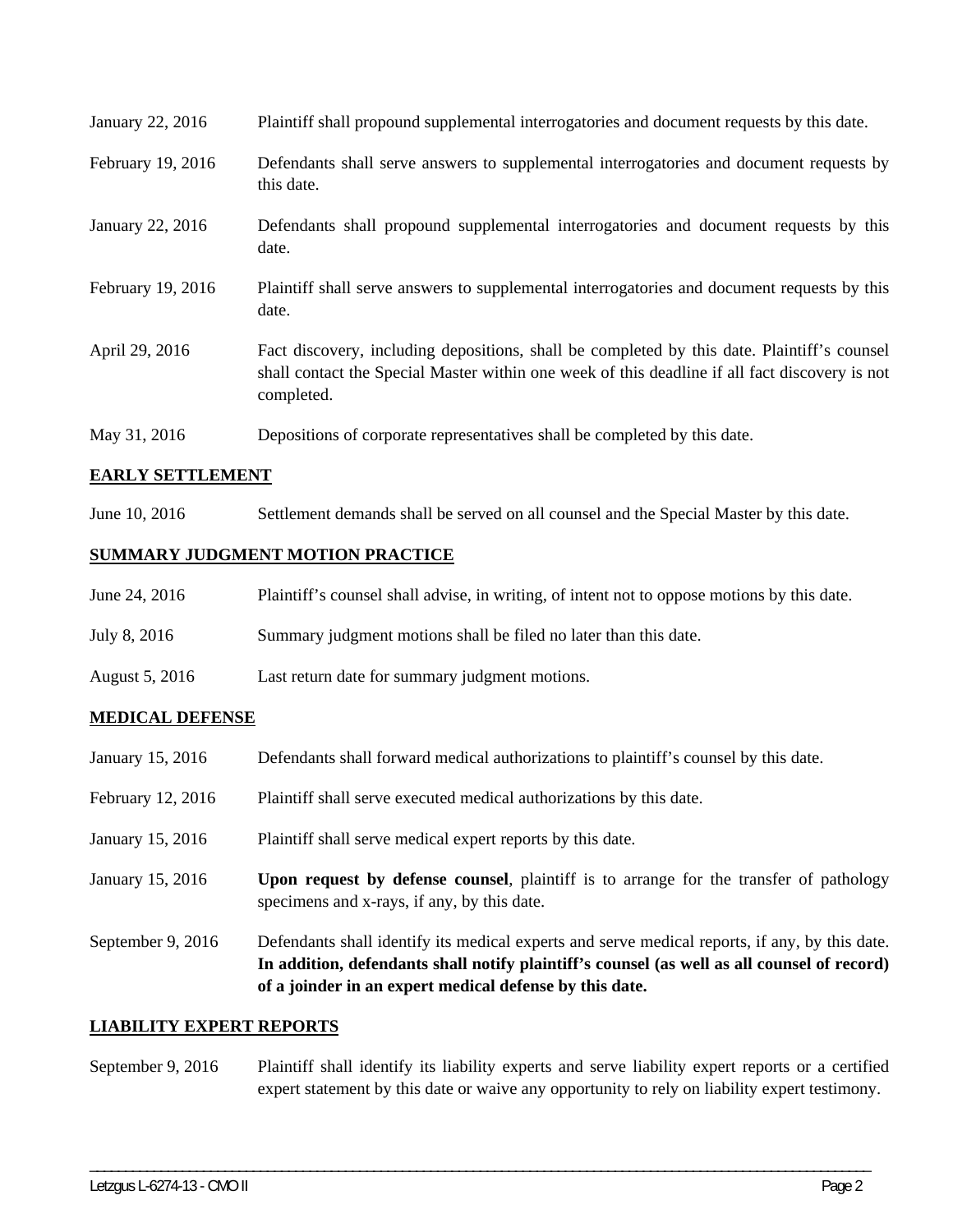| January 22, 2016  | Plaintiff shall propound supplemental interrogatories and document requests by this date.                                                                                                                   |
|-------------------|-------------------------------------------------------------------------------------------------------------------------------------------------------------------------------------------------------------|
| February 19, 2016 | Defendants shall serve answers to supplemental interrogatories and document requests by<br>this date.                                                                                                       |
| January 22, 2016  | Defendants shall propound supplemental interrogatories and document requests by this<br>date.                                                                                                               |
| February 19, 2016 | Plaintiff shall serve answers to supplemental interrogatories and document requests by this<br>date.                                                                                                        |
| April 29, 2016    | Fact discovery, including depositions, shall be completed by this date. Plaintiff's counsel<br>shall contact the Special Master within one week of this deadline if all fact discovery is not<br>completed. |
| May 31, 2016      | Depositions of corporate representatives shall be completed by this date.                                                                                                                                   |

# **EARLY SETTLEMENT**

June 10, 2016 Settlement demands shall be served on all counsel and the Special Master by this date.

### **SUMMARY JUDGMENT MOTION PRACTICE**

| June 24, 2016  | Plaintiff's counsel shall advise, in writing, of intent not to oppose motions by this date. |
|----------------|---------------------------------------------------------------------------------------------|
| July 8, 2016   | Summary judgment motions shall be filed no later than this date.                            |
| August 5, 2016 | Last return date for summary judgment motions.                                              |

# **MEDICAL DEFENSE**

- January 15, 2016 Defendants shall forward medical authorizations to plaintiff's counsel by this date.
- February 12, 2016 Plaintiff shall serve executed medical authorizations by this date.
- January 15, 2016 Plaintiff shall serve medical expert reports by this date.
- January 15, 2016 **Upon request by defense counsel**, plaintiff is to arrange for the transfer of pathology specimens and x-rays, if any, by this date.
- September 9, 2016 Defendants shall identify its medical experts and serve medical reports, if any, by this date. **In addition, defendants shall notify plaintiff's counsel (as well as all counsel of record) of a joinder in an expert medical defense by this date.**

### **LIABILITY EXPERT REPORTS**

September 9, 2016 Plaintiff shall identify its liability experts and serve liability expert reports or a certified expert statement by this date or waive any opportunity to rely on liability expert testimony.

\_\_\_\_\_\_\_\_\_\_\_\_\_\_\_\_\_\_\_\_\_\_\_\_\_\_\_\_\_\_\_\_\_\_\_\_\_\_\_\_\_\_\_\_\_\_\_\_\_\_\_\_\_\_\_\_\_\_\_\_\_\_\_\_\_\_\_\_\_\_\_\_\_\_\_\_\_\_\_\_\_\_\_\_\_\_\_\_\_\_\_\_\_\_\_\_\_\_\_\_\_\_\_\_\_\_\_\_\_\_